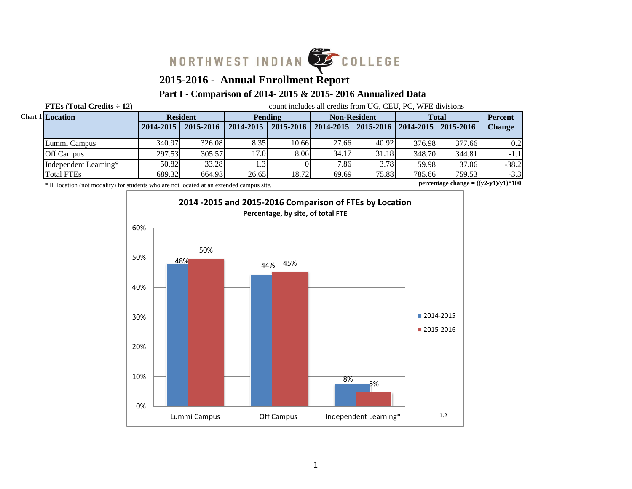

# **2015-2016 - Annual Enrollment Report**

# **Part I - Comparison of 2014- 2015 & 2015- 2016 Annualized Data**

**FTEs (Total Credits**  $\div$  **12)** count includes all credits from UG, CEU, PC, WFE divisions

| Chart 1 Location      |               | <b>Resident</b> |           | Pending   | <b>Non-Resident</b> |                                               | <b>Total</b> |        | <b>Percent</b> |
|-----------------------|---------------|-----------------|-----------|-----------|---------------------|-----------------------------------------------|--------------|--------|----------------|
|                       | $2014 - 2015$ | 2015-2016       | 2014-2015 | 2015-2016 |                     | 2014-2015   2015-2016   2014-2015   2015-2016 |              |        | <b>Change</b>  |
| Lummi Campus          | 340.97        | 326.08          | 8.35      | 10.66     | 27.66               | 40.92                                         | 376.98       | 377.66 | 0.2            |
| <b>Off Campus</b>     | 297.53        | 305.57          | 17.01     | 8.06      | 34.17               | 31.18                                         | 348.70       | 344.81 | $-1.1$         |
| Independent Learning* | 50.82         | 33.28           |           |           | 7.86                | 3.78                                          | 59.98        | 37.06  | $-38.2$        |
| <b>Total FTEs</b>     | 689.32        | 664.93          | 26.65     | 18.72     | 69.69               | 75.88                                         | 785.66       | 759.53 | $-3.3$         |

\* IL location (not modality) for students who are not located at an extended campus site.

**percentage change = ((y2-y1)/y1)\*100**

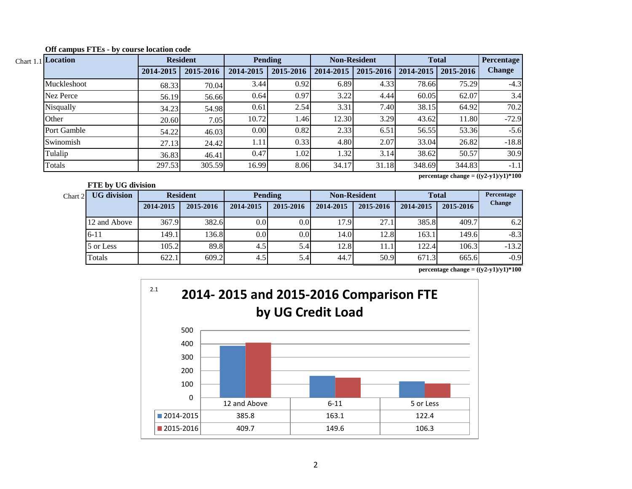| Chart 1.1 Location |           | <b>Resident</b> |           | <b>Pending</b> |           | <b>Non-Resident</b> | <b>Total</b>          |        | <b>Percentage</b> |
|--------------------|-----------|-----------------|-----------|----------------|-----------|---------------------|-----------------------|--------|-------------------|
|                    | 2014-2015 | 2015-2016       | 2014-2015 | 2015-2016      | 2014-2015 | 2015-2016           | 2014-2015   2015-2016 |        | Change            |
| Muckleshoot        | 68.33     | 70.04           | 3.44      | 0.92           | 6.89      | 4.33                | 78.66                 | 75.29  | $-4.3$            |
| Nez Perce          | 56.19     | 56.66           | 0.64      | 0.97           | 3.22      | 4.44                | 60.05                 | 62.07  | 3.4               |
| Nisqually          | 34.23     | 54.98           | 0.61      | 2.54           | 3.31      | 7.40                | 38.15                 | 64.92  | 70.2              |
| Other              | 20.60     | 7.05            | 10.72     | 1.46           | 12.30     | 3.29                | 43.62                 | 11.80  | $-72.9$           |
| Port Gamble        | 54.22     | 46.03           | 0.00      | 0.82           | 2.33      | 6.51                | 56.55                 | 53.36  | $-5.6$            |
| Swinomish          | 27.13     | 24.42           | 1.11      | 0.33           | 4.80      | 2.07                | 33.04                 | 26.82  | $-18.8$           |
| Tulalip            | 36.83     | 46.41           | 0.47      | 1.02           | 1.32      | 3.14                | 38.62                 | 50.57  | 30.9              |
| Totals             | 297.53    | 305.59          | 16.99     | 8.06           | 34.17     | 31.18               | 348.69                | 344.83 | $-1.1$            |

**Off campus FTEs - by course location code**

**FTE by UG division**

**percentage change = ((y2-y1)/y1)\*100**

| Chart 2 | <b>UG</b> division |           | <b>Resident</b> | <b>Pending</b> |                  | <b>Non-Resident</b> |           | <b>Total</b> |           | Percentage    |
|---------|--------------------|-----------|-----------------|----------------|------------------|---------------------|-----------|--------------|-----------|---------------|
|         |                    | 2014-2015 | 2015-2016       | 2014-2015      | 2015-2016        | 2014-2015           | 2015-2016 | 2014-2015    | 2015-2016 | <b>Change</b> |
|         | 12 and Above       | 367.9     | 382.6           | 0.0            | 0.0 <sub>l</sub> | 17.9                | 27.1      | 385.8        | 409.7     | 6.2           |
|         | $6 - 11$           | 149.1     | 136.8           | 0.0            | 0.0 <sub>l</sub> | 14.0                | 12.8      | 163.1        | 149.6     | $-8.3$        |
|         | 5 or Less          | 105.2     | 89.8            | 4.5            | 5.4'             | 12.8                | 11.1      | 122.4        | 106.3     | $-13.2$       |
|         | Totals             | 622.1     | 609.2           | 4.5            | 5.4              | 44.7                | 50.9      | 671.3        | 665.6     | $-0.9$        |

**percentage change = ((y2-y1)/y1)\*100**

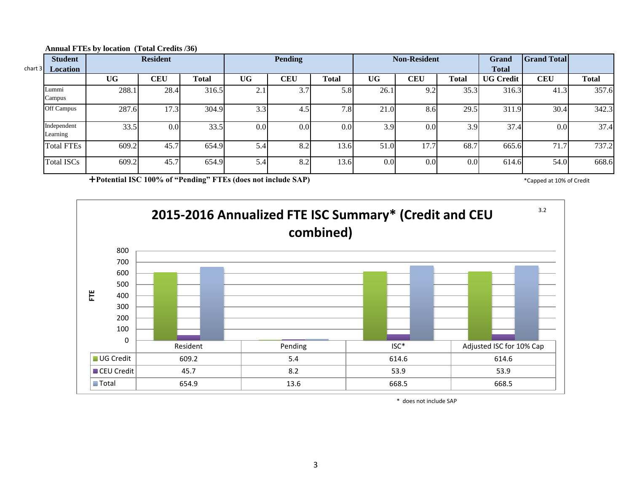| chart 3 | <b>Student</b>          |           | <b>Resident</b> |       |                  | <b>Pending</b> |                  |                  | <b>Non-Resident</b> |                  | Grand                            | <b>Grand Total</b> |              |
|---------|-------------------------|-----------|-----------------|-------|------------------|----------------|------------------|------------------|---------------------|------------------|----------------------------------|--------------------|--------------|
|         | Location                | <b>UG</b> | <b>CEU</b>      | Total | <b>UG</b>        | <b>CEU</b>     | <b>Total</b>     | UG               | CEU                 | <b>Total</b>     | <b>Total</b><br><b>UG Credit</b> | <b>CEU</b>         | <b>Total</b> |
|         | Lummi<br>Campus         | 288.1     | 28.4            | 316.5 | $\sim$<br>۷.۱    | 3.7            | 5.8              | 26.1             | 9.2                 | 35.3             | 316.3                            | 41.3               | 357.6        |
|         | Off Campus              | 287.6     | 17.3            | 304.9 | 3.3              | 4.5            | 7.8              | 21.0             | 8.6                 | 29.5             | 311.9                            | 30.4               | 342.3        |
|         | Independent<br>Learning | 33.5      | 0.0             | 33.5  | 0.0 <sub>l</sub> | 0.0            | 0.0 <sub>l</sub> | 3.9              | 0.0                 | 3.9              | 37.4                             | 0.0                | 37.4         |
|         | <b>Total FTEs</b>       | 609.2     | 45.7            | 654.9 | 5.4              | 8.2            | 13.6             | 51.0             | 17.7                | 68.7             | 665.6                            | 71.7               | 737.2        |
|         | <b>Total ISCs</b>       | 609.2     | 45.7            | 654.9 | 5.4              | 8.2            | 13.6             | 0.0 <sub>l</sub> | 0.0                 | 0.0 <sub>l</sub> | 614.6                            | 54.0               | 668.6        |

#### **Annual FTEs by location (Total Credits /36)**

**Potential ISC 100% of "Pending" FTEs (does not include SAP)** \* Capped at 10% of Credit \* Capped at 10% of Credit



\* does not include SAP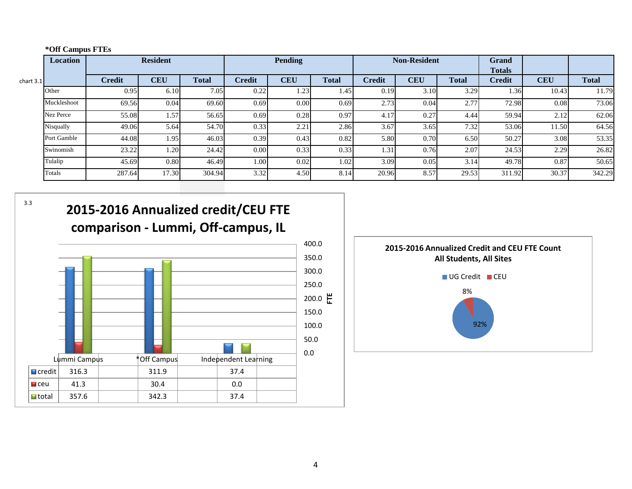|  | *Off Campus FTEs |  |
|--|------------------|--|
|--|------------------|--|

|             | Location    |               | <b>Resident</b> |              | <b>Pending</b> |            |              | <b>Non-Resident</b> |            |              | <b>Grand</b><br><b>Totals</b> |            |              |
|-------------|-------------|---------------|-----------------|--------------|----------------|------------|--------------|---------------------|------------|--------------|-------------------------------|------------|--------------|
| chart $3.1$ |             | <b>Credit</b> | <b>CEU</b>      | <b>Total</b> | <b>Credit</b>  | <b>CEU</b> | <b>Total</b> | <b>Credit</b>       | <b>CEU</b> | <b>Total</b> | <b>Credit</b>                 | <b>CEU</b> | <b>Total</b> |
|             | Other       | 0.95          | 6.10            | 7.05         | 0.22           | 1.23       | 1.45         | 0.19                | 3.10       | 3.29         | 1.36                          | 10.43      | 11.79        |
|             | Muckleshoot | 69.56         | 0.04            | 69.60        | 0.69           | $0.00\,$   | 0.69         | 2.73                | 0.04       | 2.77         | 72.98                         | 0.08       | 73.06        |
|             | Nez Perce   | 55.08         | 1.57            | 56.65        | 0.69           | 0.28       | 0.97         | 4.17                | 0.27       | 4.44         | 59.94                         | 2.12       | 62.06        |
|             | Nisqually   | 49.06         | 5.64            | 54.70        | 0.33           | 2.21       | 2.86         | 3.67                | 3.65       | 7.32         | 53.06                         | 11.50      | 64.56        |
|             | Port Gamble | 44.08         | 1.95            | 46.03        | 0.39           | 0.43       | 0.82         | 5.80                | 0.70       | 6.50         | 50.27                         | 3.08       | 53.35        |
|             | Swinomish   | 23.22         | 1.20            | 24.42        | $0.00\,$       | 0.33       | 0.33         | 1.31                | 0.76       | 2.07         | 24.53                         | 2.29       | 26.82        |
|             | Tulalip     | 45.69         | 0.80            | 46.49        | 1.00           | 0.02       | 1.02         | 3.09                | 0.05       | 3.14         | 49.78                         | 0.87       | 50.65        |
|             | Totals      | 287.64        | 17.30           | 304.94       | 3.32           | 4.50       | 8.14         | 20.96               | 8.57       | 29.53        | 311.92                        | 30.37      | 342.29       |

3.3



ceu | 41.3 | | 30.4 | | 0.0 total 357.6 | 342.3 | 37.4

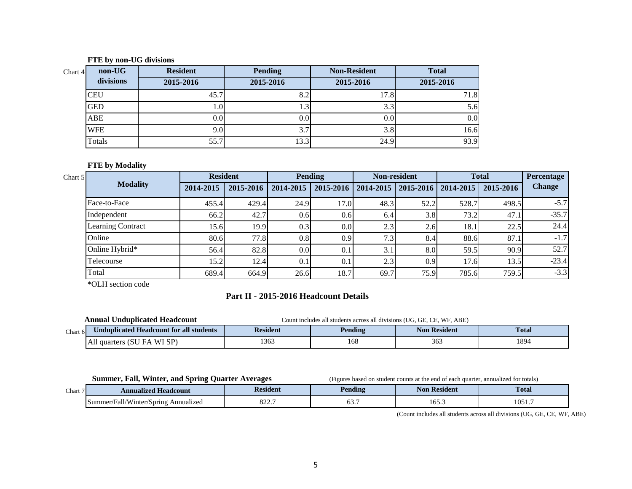#### **FTE by non-UG divisions**

| non-UG<br>Chart $4$ | <b>Resident</b> | <b>Pending</b> | <b>Non-Resident</b> | <b>Total</b> |
|---------------------|-----------------|----------------|---------------------|--------------|
| divisions           | 2015-2016       | 2015-2016      | 2015-2016           | 2015-2016    |
| <b>CEU</b>          | 45.7            | 0.4            | 17.8                | 71.8         |
| <b>GED</b>          | 1.01            | 1.5            | 3.3                 | 5.6          |
| ABE                 | 0.01            | 0.0            | 0.0                 | 0.0          |
| <b>WFE</b>          | 9.01            | 3.1            | 3.8                 | 16.6         |
| Totals              | 55.7            | 13.3           | 24.9                | 93.9         |

### **FTE by Modality**

| Chart 5 |                   | <b>Resident</b> |           |                  | <b>Pending</b>   |                  | <b>Non-resident</b>               |       | <b>Total</b> | Percentage    |
|---------|-------------------|-----------------|-----------|------------------|------------------|------------------|-----------------------------------|-------|--------------|---------------|
|         | <b>Modality</b>   | 2014-2015       | 2015-2016 | 2014-2015        | $2015 - 2016$    |                  | 2014-2015   2015-2016   2014-2015 |       | 2015-2016    | <b>Change</b> |
|         | Face-to-Face      | 455.4           | 429.4     | 24.9             | 17.0             | 48.3             | 52.2                              | 528.7 | 498.5        | $-5.7$        |
|         | Independent       | 66.2            | 42.7      | 0.6              | 0.6              | 6.4              | 3.8                               | 73.2  | 47.1         | $-35.7$       |
|         | Learning Contract | 15.6            | 19.9      | 0.3              | 0.0 <sub>l</sub> | 2.3              | 2.6                               | 18.1  | 22.5         | 24.4          |
|         | Online            | 80.6            | 77.8      | 0.8              | 0.9              | 7.3 <sub>1</sub> | 8.4                               | 88.6  | 87.1         | $-1.7$        |
|         | Online Hybrid*    | 56.4            | 82.8      | 0.0 <sub>l</sub> | 0.1              | 3.1              | 8.0                               | 59.5  | 90.9         | 52.7          |
|         | Telecourse        | 15.2            | 12.4      | 0.1              | 0.1              | 2.3              | 0.9                               | 17.6  | 13.5         | $-23.4$       |
|         | Total             | 689.4           | 664.9     | 26.6             | 18.7             | 69.7             | 75.9                              | 785.6 | 759.5        | $-3.3$        |

\*OLH section code

# **Part II - 2015-2016 Headcount Details**

|         | <b>Annual Unduplicated Headcount</b>    | Count includes all students across all divisions (UG, GE, CE, WF, ABE) |         |                     |              |  |  |  |
|---------|-----------------------------------------|------------------------------------------------------------------------|---------|---------------------|--------------|--|--|--|
| Chart 6 | Unduplicated Headcount for all students | <b>Resident</b>                                                        | Pending | <b>Non Resident</b> | <b>Total</b> |  |  |  |
|         | All quarters (SU<br>. WI SP)<br>FA      | 1363                                                                   | 168     | 363                 | 1894         |  |  |  |

**Summer, Fall, Winter, and Spring Quarter Averages** (Figures based on student counts at the end of each quarter, annualized for totals)

| Chart | <b>Headcount</b><br>Annualized                    | sident          | Pending | Resident<br>Nor | <b>Total</b>   |  |
|-------|---------------------------------------------------|-----------------|---------|-----------------|----------------|--|
|       | 11.777<br>Summer/Fall/Winter/Spring<br>Annualized | $0.22 -$<br>022 | . . U   | 165.3           | 1051<br>.UJ 1. |  |

(Count includes all students across all divisions (UG, GE, CE, WF, ABE)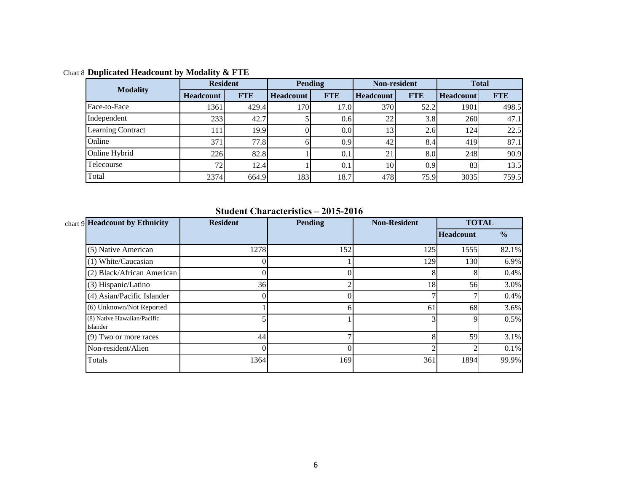| <b>Modality</b>          | <b>Resident</b>  |            |                  | Pending    | Non-resident     |            | <b>Total</b>     |            |
|--------------------------|------------------|------------|------------------|------------|------------------|------------|------------------|------------|
|                          | <b>Headcount</b> | <b>FTE</b> | <b>Headcount</b> | <b>FTE</b> | <b>Headcount</b> | <b>FTE</b> | <b>Headcount</b> | <b>FTE</b> |
| Face-to-Face             | 1361             | 429.4      | 170I             | 17.0       | 370              | 52.2       | 1901             | 498.5      |
| Independent              | 233              | 42.7       |                  | 0.6        | 22               | 3.8        | 260              | 47.1       |
| <b>Learning Contract</b> | 111              | 19.9       |                  | 0.0        | 13               | 2.6        | 124              | 22.5       |
| Online                   | 371              | 77.8       |                  | 0.9        | 42               | 8.4        | 419              | 87.1       |
| Online Hybrid            | 226              | 82.8       |                  | 0.1        | 21               | 8.0        | 248              | 90.9       |
| Telecourse               | 72 <sub>1</sub>  | 12.4       |                  | 0.1        | 10               | 0.9        | 83               | 13.5       |
| Total                    | 2374             | 664.9      | 183              | 18.7       | 478              | 75.9       | 3035             | 759.5      |

Chart 8 **Duplicated Headcount by Modality & FTE**

**Student Characteristics – 2015-2016**

| chart 9 Headcount by Ethnicity          | <b>Resident</b> | <b>Pending</b> | <b>Non-Resident</b> |                  | <b>TOTAL</b>  |
|-----------------------------------------|-----------------|----------------|---------------------|------------------|---------------|
|                                         |                 |                |                     | <b>Headcount</b> | $\frac{6}{6}$ |
| (5) Native American                     | 1278            | 152            | 125                 | 1555             | 82.1%         |
| (1) White/Caucasian                     |                 |                | 129                 | 130              | 6.9%          |
| (2) Black/African American              |                 |                | 8                   |                  | 0.4%          |
| (3) Hispanic/Latino                     | 36              | ◠              | 18                  | 56               | 3.0%          |
| (4) Asian/Pacific Islander              |                 |                |                     |                  | 0.4%          |
| (6) Unknown/Not Reported                |                 | 6              | 61                  | 68               | 3.6%          |
| (8) Native Hawaiian/Pacific<br>Islander |                 |                |                     |                  | 0.5%          |
| (9) Two or more races                   | 44              | ⇁              | 8                   | 59               | 3.1%          |
| Non-resident/Alien                      |                 |                |                     |                  | 0.1%          |
| Totals                                  | 1364            | 169            | 361                 | 1894             | 99.9%         |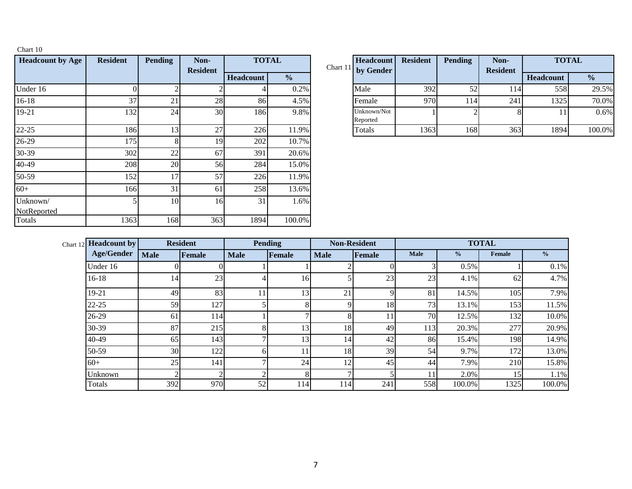| <b>Headcount by Age</b> | <b>Resident</b> | <b>Pending</b> | Non-<br><b>Resident</b> |           | <b>TOTAL</b>  | Chart 11 | Headcount<br>by Gender  |
|-------------------------|-----------------|----------------|-------------------------|-----------|---------------|----------|-------------------------|
|                         |                 |                |                         | Headcount | $\frac{0}{0}$ |          |                         |
| Under 16                |                 | າ              |                         |           | 0.2%          |          | Male                    |
| 16-18                   | 37              | 21             | 28                      | 86        | 4.5%          |          | Female                  |
| 19-21                   | 132             | 24             | 30                      | 186       | 9.8%          |          | Unknown/Not<br>Reported |
| $22 - 25$               | 186             | 13             | 27                      | 226       | 11.9%         |          | Totals                  |
| 26-29                   | 175             | 8              | 19                      | 202       | 10.7%         |          |                         |
| 30-39                   | 302             | 22             | 67                      | 391       | 20.6%         |          |                         |
| 40-49                   | 208             | 20             | 56                      | 284       | 15.0%         |          |                         |
| 50-59                   | 152             | 17             | 57                      | 226       | 11.9%         |          |                         |
| $60+$                   | 166             | 31             | 61                      | 258       | 13.6%         |          |                         |
| Unknown/<br>NotReported | 5               | 10             | 16                      | 31        | 1.6%          |          |                         |
| Totals                  | 1363            | 168            | 363                     | 1894      | 100.0%        |          |                         |

Chart 10

|     | Pending         | Non-<br><b>Resident</b> | <b>TOTAL</b>     |               | Headcount<br>Chart 11 by Gender | <b>Resident</b> | Pending | Non-<br><b>Resident</b> | <b>TOTAL</b>     |               |
|-----|-----------------|-------------------------|------------------|---------------|---------------------------------|-----------------|---------|-------------------------|------------------|---------------|
|     |                 |                         | <b>Headcount</b> | $\frac{0}{0}$ |                                 |                 |         |                         | <b>Headcount</b> | $\frac{6}{9}$ |
|     |                 |                         |                  | 0.2%          | Male                            | 392             | 52      | 114                     | 558              | 29.5%         |
| 37  | 21              | 28                      | 86               | 4.5%          | Female                          | 970             | . 14    | 241                     | 1325             | 70.0%         |
| 132 | 24 <sub>1</sub> | 30                      | 186              | 9.8%          | Unknown/Not<br>Reported         |                 |         |                         |                  | 0.6%          |
| 186 |                 | 27                      | 226              | 11.9%         | Totals                          | 1363            | 168     | 363                     | 1894             | 100.0%        |

| <b>Headcount by</b><br>Chart $12$ |             | <b>Resident</b> |             | <b>Pending</b> |                 | <b>Non-Resident</b> |             | <b>TOTAL</b>  |               |               |
|-----------------------------------|-------------|-----------------|-------------|----------------|-----------------|---------------------|-------------|---------------|---------------|---------------|
| <b>Age/Gender</b>                 | <b>Male</b> | <b>Female</b>   | <b>Male</b> | Female         | <b>Male</b>     | Female              | <b>Male</b> | $\frac{6}{9}$ | <b>Female</b> | $\frac{1}{2}$ |
| Under 16                          | $\Omega$    |                 |             |                |                 |                     |             | 0.5%          |               | 0.1%          |
| $16-18$                           | 14          | 23              | 4           | 16             |                 | 23                  | 23          | 4.1%          | 62            | 4.7%          |
| 19-21                             | 49          | 83              | 11          | 13             | 21              | Q                   | 81          | 14.5%         | 105           | 7.9%          |
| 22-25                             | 59          | 127             |             | 8              | $\Omega$        | 18                  | 73          | 13.1%         | 153           | 11.5%         |
| 26-29                             | 61          | 114             |             |                | 8               |                     | 70          | 12.5%         | 132           | 10.0%         |
| 30-39                             | 87          | 215             | 8           | 13             | 18              | 49                  | 113         | 20.3%         | 277           | 20.9%         |
| 40-49                             | 65          | 143             |             | 13             | 14              | 42                  | 86          | 15.4%         | 198           | 14.9%         |
| 50-59                             | 30          | 122             |             | 11             | 18              | 39                  | 54          | 9.7%          | 172           | 13.0%         |
| $60+$                             | 25          | 141             |             | 24             | 12 <sub>1</sub> | 45                  | 44          | 7.9%          | 210           | 15.8%         |
| Unknown                           | ി           | $\overline{ }$  | ◠           | 8              |                 |                     |             | 2.0%          | 15            | 1.1%          |
| Totals                            | 392         | 970             | 52          | 114            | 114             | 241                 | 558         | 100.0%        | 1325          | 100.0%        |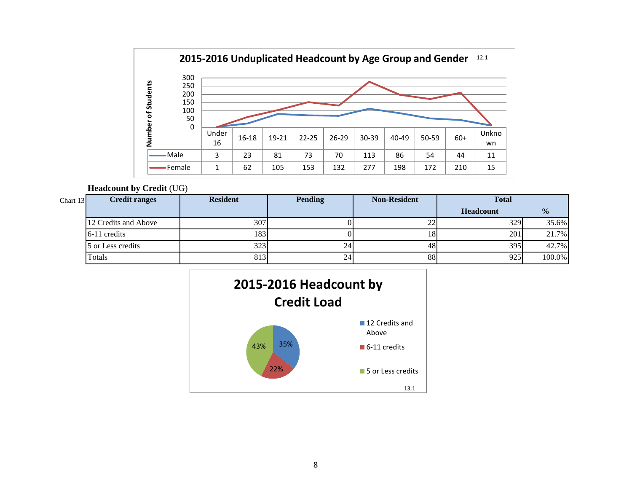

### **Headcount by Credit** (UG)

| Chart 13 | <b>Credit ranges</b> | <b>Resident</b> | <b>Pending</b> | <b>Non-Resident</b> | <b>Total</b>     |               |
|----------|----------------------|-----------------|----------------|---------------------|------------------|---------------|
|          |                      |                 |                |                     | <b>Headcount</b> | $\frac{0}{0}$ |
|          | 12 Credits and Above | 307             |                | 22                  | 329              | 35.6%         |
|          | 6-11 credits         | 183             |                | 18                  | 201              | 21.7%         |
|          | 5 or Less credits    | 323             | $24^{\circ}$   | 48                  | 395              | 42.7%         |
|          | Totals               | 813             | 24'            | 88                  | 925              | 100.0%        |

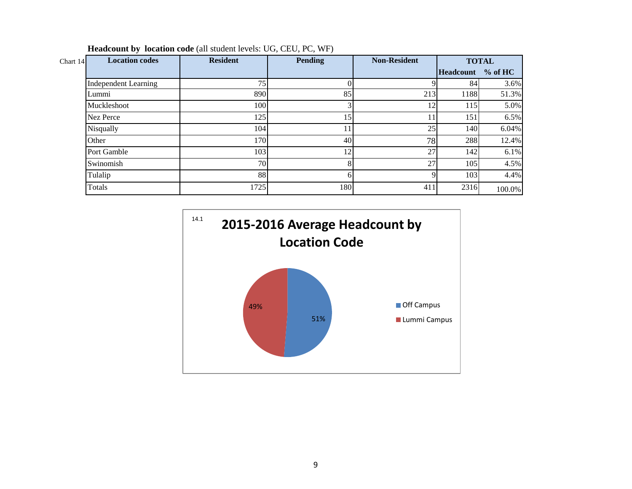| Chart 14 | <b>Location codes</b>       | <b>Resident</b> | <b>Pending</b> | <b>Non-Resident</b><br><b>TOTAL</b> |                   |        |
|----------|-----------------------------|-----------------|----------------|-------------------------------------|-------------------|--------|
|          |                             |                 |                |                                     | Headcount % of HC |        |
|          | <b>Independent Learning</b> | 75              |                |                                     | 84                | 3.6%   |
|          | Lummi                       | 890             | 85             | 213                                 | 1188              | 51.3%  |
|          | Muckleshoot                 | 100             |                | 12                                  | 115               | 5.0%   |
|          | <b>Nez Perce</b>            | 125             | 15             |                                     | 151               | 6.5%   |
|          | Nisqually                   | 104             |                | 25                                  | 140               | 6.04%  |
|          | Other                       | 170             | 40             | 78                                  | 288               | 12.4%  |
|          | Port Gamble                 | 103             | 12             | 27                                  | 142               | 6.1%   |
|          | Swinomish                   | 70              |                | 27                                  | 105               | 4.5%   |
|          | Tulalip                     | 88              |                |                                     | 103               | 4.4%   |
|          | Totals                      | 1725            | 180            | 411                                 | 2316              | 100.0% |

**Headcount by location code** (all student levels: UG, CEU, PC, WF)

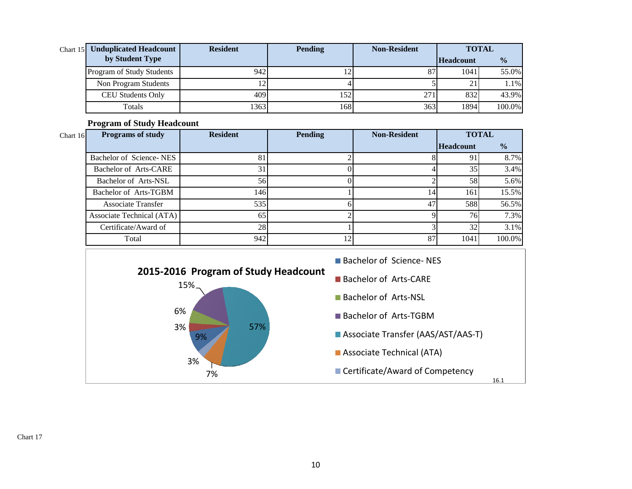| <b>Resident</b><br>Chart 15 Unduplicated Headcount |      | <b>Pending</b> | <b>Non-Resident</b> | <b>TOTAL</b>     |               |  |
|----------------------------------------------------|------|----------------|---------------------|------------------|---------------|--|
| by Student Type                                    |      |                |                     | <b>Headcount</b> | $\frac{6}{6}$ |  |
| Program of Study Students                          | 942  |                | 87                  | 1041             | 55.0%         |  |
| Non Program Students                               |      |                |                     | 21               | 1.1%          |  |
| <b>CEU Students Only</b>                           | 409  | 152!           | 271                 | 832              | 43.9%         |  |
| Totals                                             | 1363 | 168I           | 363                 | 1894             | 100.0%        |  |

**Program of Study Headcount** 

| Chart $16$ | <b>Programs of study</b>  | <b>Resident</b> | <b>Pending</b> | <b>Non-Resident</b> | <b>TOTAL</b>     |               |
|------------|---------------------------|-----------------|----------------|---------------------|------------------|---------------|
|            |                           |                 |                |                     | <b>Headcount</b> | $\frac{6}{6}$ |
|            | Bachelor of Science-NES   | 81              |                |                     | 91               | 8.7%          |
|            | Bachelor of Arts-CARE     | 31              |                |                     | 35               | 3.4%          |
|            | Bachelor of Arts-NSL      | 56              |                |                     | 58               | 5.6%          |
|            | Bachelor of Arts-TGBM     | 146             |                | 14                  | 161              | 15.5%         |
|            | <b>Associate Transfer</b> | 535             |                | 47                  | 588              | 56.5%         |
|            | Associate Technical (ATA) | 65              |                |                     | <b>76</b>        | 7.3%          |
|            | Certificate/Award of      | 28              |                |                     | 32               | 3.1%          |
|            | Total                     | 942             | 12             | 87                  | 1041             | 100.0%        |



Chart 17